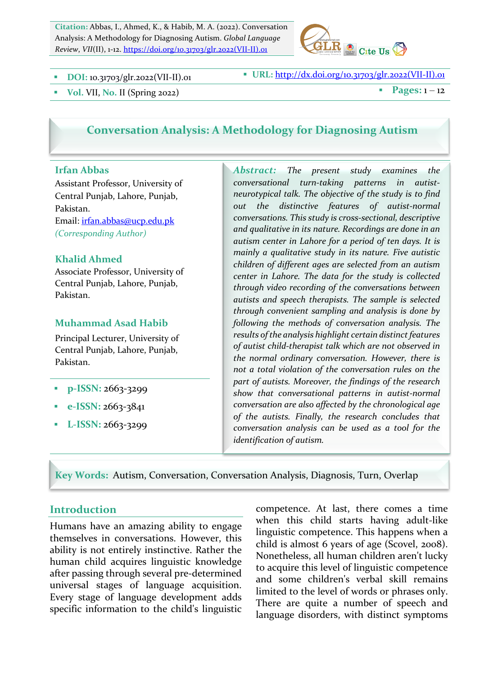**Citation:** Abbas, I., Ahmed, K., & Habib, M. A. (2022). Conversation Analysis: A Methodology for Diagnosing Autism. *Global Language Review*, *VII*(II), 1-12. https://doi.org/10.31703/glr.2022(VII-II).01



§ **DOI:** 10.31703/glr.2022(VII-II).01 § **URL:** http://dx.doi.org/10.31703/glr.2022(VII-II).01

**vol.** VII, No. II (Spring 2022) **a** Pages: 1 – 12

## **Conversation Analysis: A Methodology for Diagnosing Autism**

#### **Irfan Abbas**

Assistant Professor, University of Central Punjab, Lahore, Punjab, Pakistan. Email: *irfan.abbas@ucp.edu.pk (Corresponding Author)*

#### **Khalid Ahmed**

Associate Professor, University of Central Punjab, Lahore, Punjab, Pakistan.

#### **Muhammad Asad Habib**

Principal Lecturer, University of Central Punjab, Lahore, Punjab, Pakistan.

- § **p-ISSN:** 2663-3299
- § **e-ISSN:** 2663-3841
- § **L-ISSN:** 2663-3299

Abstract: The present study examines the *conversational turn-taking patterns in autistneurotypical talk. The objective of the study is to find out the distinctive features of autist-normal*  conversations. This study is cross-sectional, descriptive and qualitative in its nature. Recordings are done in an autism center in Lahore for a period of ten days. It is *mainly a qualitative study in its nature. Five autistic children of different ages are selected from an autism center in Lahore. The data for the study is collected through video recording of the conversations between*  autists and speech therapists. The sample is selected *through convenient sampling and analysis is done by following the methods of conversation analysis. The* results of the analysis highlight certain distinct features of autist child-therapist talk which are not observed in the normal ordinary conversation. However, there is *not a total violation of the conversation rules on the* part of autists. Moreover, the findings of the research *show that conversational patterns in autist-normal*  conversation are also affected by the chronological age of the autists. Finally, the research concludes that *conversation analysis can be used as a tool for the identification of autism.*

**Key Words:**Autism, Conversation, Conversation Analysis, Diagnosis, Turn, Overlap

### **Introduction**

Humans have an amazing ability to engage themselves in conversations. However, this ability is not entirely instinctive. Rather the human child acquires linguistic knowledge after passing through several pre-determined universal stages of language acquisition. Every stage of language development adds specific information to the child's linguistic competence. At last, there comes a time when this child starts having adult-like linguistic competence. This happens when a child is almost 6 years of age (Scovel, 2008). Nonetheless, all human children aren't lucky to acquire this level of linguistic competence and some children's verbal skill remains limited to the level of words or phrases only. There are quite a number of speech and language disorders, with distinct symptoms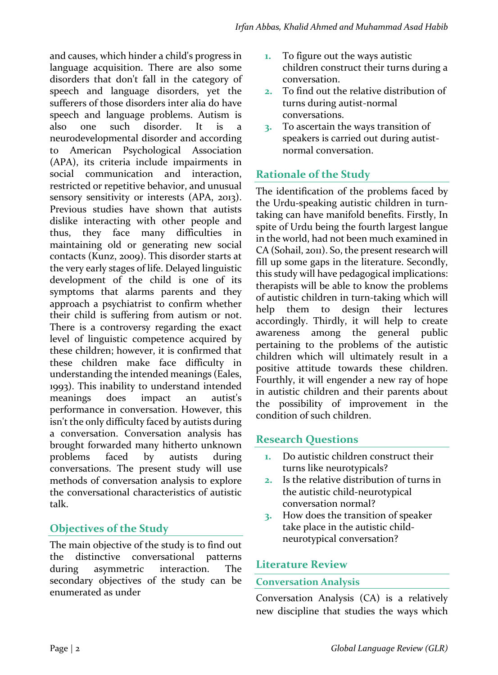and causes, which hinder a child's progress in language acquisition. There are also some disorders that don't fall in the category of speech and language disorders, yet the sufferers of those disorders inter alia do have speech and language problems. Autism is also one such disorder. It is a neurodevelopmental disorder and according to American Psychological Association (APA), its criteria include impairments in social communication and interaction, restricted or repetitive behavior, and unusual sensory sensitivity or interests (APA, 2013). Previous studies have shown that autists dislike interacting with other people and thus, they face many difficulties in maintaining old or generating new social contacts (Kunz, 2009). This disorder starts at the very early stages of life. Delayed linguistic development of the child is one of its symptoms that alarms parents and they approach a psychiatrist to confirm whether their child is suffering from autism or not. There is a controversy regarding the exact level of linguistic competence acquired by these children; however, it is confirmed that these children make face difficulty in understanding the intended meanings (Eales, 1993). This inability to understand intended meanings does impact an autist's performance in conversation. However, this isn't the only difficulty faced by autists during a conversation. Conversation analysis has brought forwarded many hitherto unknown problems faced by autists during conversations. The present study will use methods of conversation analysis to explore the conversational characteristics of autistic talk. 

# **Objectives of the Study**

The main objective of the study is to find out the distinctive conversational patterns during asymmetric interaction. The secondary objectives of the study can be enumerated as under 

- **1.** To figure out the ways autistic children construct their turns during a conversation.
- **2.** To find out the relative distribution of turns during autist-normal conversations.
- **3.** To ascertain the ways transition of speakers is carried out during autistnormal conversation.

## **Rationale of the Study**

The identification of the problems faced by the Urdu-speaking autistic children in turntaking can have manifold benefits. Firstly, In spite of Urdu being the fourth largest langue in the world, had not been much examined in CA (Sohail, 2011). So, the present research will fill up some gaps in the literature. Secondly, this study will have pedagogical implications: therapists will be able to know the problems of autistic children in turn-taking which will help them to design their lectures accordingly. Thirdly, it will help to create awareness among the general public pertaining to the problems of the autistic children which will ultimately result in a positive attitude towards these children. Fourthly, it will engender a new ray of hope in autistic children and their parents about the possibility of improvement in the condition of such children.

## **Research Questions**

- **1.** Do autistic children construct their turns like neurotypicals?
- **2.** Is the relative distribution of turns in the autistic child-neurotypical conversation normal?
- **3.** How does the transition of speaker take place in the autistic childneurotypical conversation?

### **Literature Review**

### **Conversation Analysis**

Conversation Analysis (CA) is a relatively new discipline that studies the ways which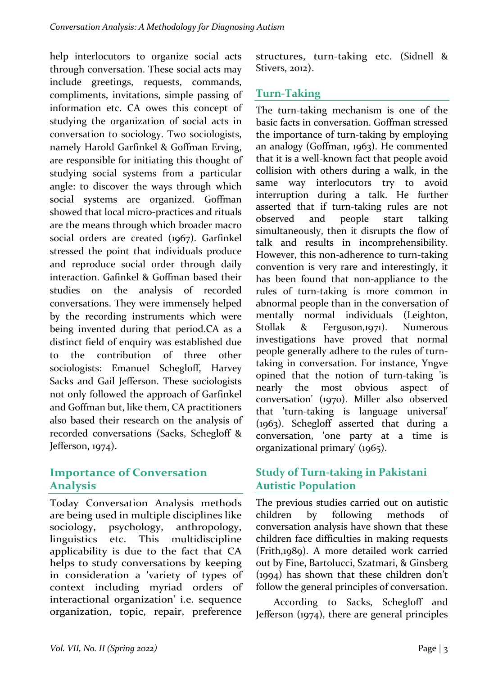help interlocutors to organize social acts through conversation. These social acts may include greetings, requests, commands, compliments, invitations, simple passing of information etc. CA owes this concept of studying the organization of social acts in conversation to sociology. Two sociologists, namely Harold Garfinkel & Goffman Erving, are responsible for initiating this thought of studying social systems from a particular angle: to discover the ways through which social systems are organized. Goffman showed that local micro-practices and rituals are the means through which broader macro social orders are created (1967). Garfinkel stressed the point that individuals produce and reproduce social order through daily interaction. Gafinkel & Goffman based their studies on the analysis of recorded conversations. They were immensely helped by the recording instruments which were being invented during that period.CA as a distinct field of enquiry was established due to the contribution of three other sociologists: Emanuel Schegloff, Harvey Sacks and Gail Jefferson. These sociologists not only followed the approach of Garfinkel and Goffman but, like them, CA practitioners also based their research on the analysis of recorded conversations (Sacks, Schegloff & Jefferson, 1974).

### **Importance of Conversation Analysis**

Today Conversation Analysis methods are being used in multiple disciplines like sociology, psychology, anthropology, linguistics etc. This multidiscipline applicability is due to the fact that CA helps to study conversations by keeping in consideration a 'variety of types of context including myriad orders of interactional organization' i.e. sequence organization, topic, repair, preference structures, turn-taking etc. (Sidnell & Stivers, 2012).

# **Turn-Taking**

The turn-taking mechanism is one of the basic facts in conversation. Goffman stressed the importance of turn-taking by employing an analogy (Goffman, 1963). He commented that it is a well-known fact that people avoid collision with others during a walk, in the same way interlocutors try to avoid interruption during a talk. He further asserted that if turn-taking rules are not observed and people start talking simultaneously, then it disrupts the flow of talk and results in incomprehensibility. However, this non-adherence to turn-taking convention is very rare and interestingly, it has been found that non-appliance to the rules of turn-taking is more common in abnormal people than in the conversation of mentally normal individuals (Leighton, Stollak & Ferguson,1971). Numerous investigations have proved that normal people generally adhere to the rules of turntaking in conversation. For instance, Yngve opined that the notion of turn-taking 'is nearly the most obvious aspect of conversation' (1970). Miller also observed that 'turn-taking is language universal' (1963). Schegloff asserted that during a conversation, 'one party at a time is organizational primary' (1965).

## **Study of Turn-taking in Pakistani Autistic Population**

The previous studies carried out on autistic children by following methods of conversation analysis have shown that these children face difficulties in making requests (Frith,1989). A more detailed work carried out by Fine, Bartolucci, Szatmari, & Ginsberg  $(1994)$  has shown that these children don't follow the general principles of conversation.

According to Sacks, Schegloff and Jefferson  $(1974)$ , there are general principles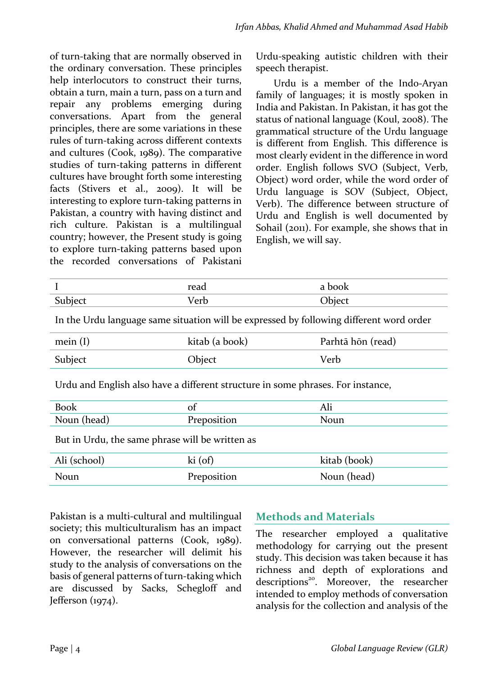of turn-taking that are normally observed in the ordinary conversation. These principles help interlocutors to construct their turns, obtain a turn, main a turn, pass on a turn and repair any problems emerging during conversations. Apart from the general principles, there are some variations in these rules of turn-taking across different contexts and cultures (Cook, 1989). The comparative studies of turn-taking patterns in different cultures have brought forth some interesting facts (Stivers et al., 2009). It will be interesting to explore turn-taking patterns in Pakistan, a country with having distinct and rich culture. Pakistan is a multilingual country; however, the Present study is going to explore turn-taking patterns based upon the recorded conversations of Pakistani Urdu-speaking autistic children with their speech therapist.

Urdu is a member of the Indo-Aryan family of languages; it is mostly spoken in India and Pakistan. In Pakistan, it has got the status of national language (Koul, 2008). The grammatical structure of the Urdu language is different from English. This difference is most clearly evident in the difference in word order. English follows SVO (Subject, Verb, Object) word order, while the word order of Urdu language is SOV (Subject, Object, Verb). The difference between structure of Urdu and English is well documented by Sohail (2011). For example, she shows that in English, we will say.

| read                | $h \wedge \wedge$<br>л |
|---------------------|------------------------|
| 17 1<br>owh<br>cı u |                        |

In the Urdu language same situation will be expressed by following different word order

| mein $(I)$ | kitab (a book) | Parhtā hōn (read) |
|------------|----------------|-------------------|
| Subject    | Object         | Verb              |

Urdu and English also have a different structure in some phrases. For instance,

| $D_{\alpha\alpha}$<br>n. | ОI  | 7 TH<br>--------- |
|--------------------------|-----|-------------------|
| M<br>11041               | . . | uu                |

But in Urdu, the same phrase will be written as

| Ali (school) | $ki($ of $)$ | kitab (book) |
|--------------|--------------|--------------|
| Noun         | Preposition  | Noun (head)  |

Pakistan is a multi-cultural and multilingual society; this multiculturalism has an impact on conversational patterns (Cook, 1989). However, the researcher will delimit his study to the analysis of conversations on the basis of general patterns of turn-taking which are discussed by Sacks, Schegloff and Jefferson  $(1974)$ .

### **Methods and Materials**

The researcher employed a qualitative methodology for carrying out the present study. This decision was taken because it has richness and depth of explorations and descriptions<sup>20</sup>. Moreover, the researcher intended to employ methods of conversation analysis for the collection and analysis of the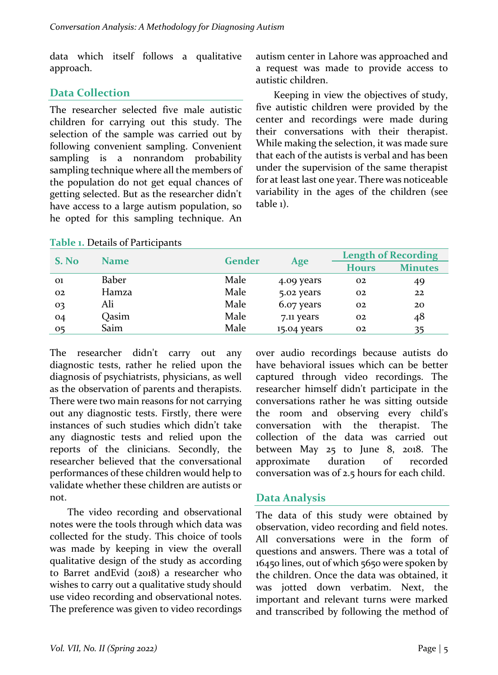data which itself follows a qualitative approach. 

## **Data Collection**

The researcher selected five male autistic children for carrying out this study. The selection of the sample was carried out by following convenient sampling. Convenient sampling is a nonrandom probability sampling technique where all the members of the population do not get equal chances of getting selected. But as the researcher didn't have access to a large autism population, so he opted for this sampling technique. An

autism center in Lahore was approached and a request was made to provide access to autistic children.

Keeping in view the objectives of study, five autistic children were provided by the center and recordings were made during their conversations with their therapist. While making the selection, it was made sure that each of the autists is verbal and has been under the supervision of the same therapist for at least last one year. There was noticeable variability in the ages of the children (see table 1).

| S. No |             | Gender | Age         | <b>Length of Recording</b> |                |
|-------|-------------|--------|-------------|----------------------------|----------------|
|       | <b>Name</b> |        |             | <b>Hours</b>               | <b>Minutes</b> |
| 01    | Baber       | Male   | 4.09 years  | 02                         | 49             |
| 02    | Hamza       | Male   | 5.02 years  | 02                         | 22             |
| 03    | Ali         | Male   | 6.07 years  | 02                         | 20             |
| 04    | Qasim       | Male   | 7.11 years  | 02                         | 48             |
| 05    | Saim        | Male   | 15.04 years | 02                         |                |

#### **Table 1. Details of Participants**

The researcher didn't carry out any diagnostic tests, rather he relied upon the diagnosis of psychiatrists, physicians, as well as the observation of parents and therapists. There were two main reasons for not carrying out any diagnostic tests. Firstly, there were instances of such studies which didn't take any diagnostic tests and relied upon the reports of the clinicians. Secondly, the researcher believed that the conversational performances of these children would help to validate whether these children are autists or not. 

The video recording and observational notes were the tools through which data was collected for the study. This choice of tools was made by keeping in view the overall qualitative design of the study as according to Barret andEvid (2018) a researcher who wishes to carry out a qualitative study should use video recording and observational notes. The preference was given to video recordings over audio recordings because autists do have behavioral issues which can be better captured through video recordings. The researcher himself didn't participate in the conversations rather he was sitting outside the room and observing every child's conversation with the therapist. The collection of the data was carried out between May 25 to June 8, 2018. The approximate duration of recorded conversation was of 2.5 hours for each child.

### Data Analysis

The data of this study were obtained by observation, video recording and field notes. All conversations were in the form of questions and answers. There was a total of 16450 lines, out of which 5650 were spoken by the children. Once the data was obtained, it was iotted down verbatim. Next, the important and relevant turns were marked and transcribed by following the method of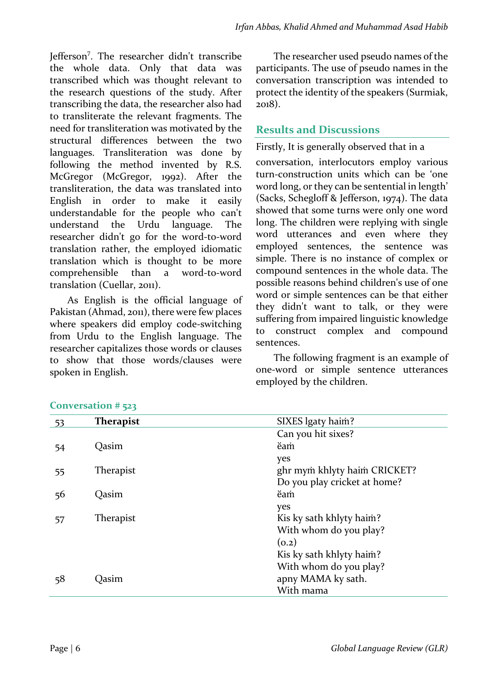Jefferson<sup>7</sup>. The researcher didn't transcribe the whole data. Only that data was transcribed which was thought relevant to the research questions of the study. After transcribing the data, the researcher also had to transliterate the relevant fragments. The need for transliteration was motivated by the structural differences between the two languages. Transliteration was done by following the method invented by R.S.  $McGregor$  (McGregor, 1992). After the transliteration, the data was translated into English in order to make it easily understandable for the people who can't understand the Urdu language. The researcher didn't go for the word-to-word translation rather, the employed idiomatic translation which is thought to be more comprehensible than a word-to-word translation (Cuellar, 2011).

As English is the official language of Pakistan (Ahmad, 2011), there were few places where speakers did employ code-switching from Urdu to the English language. The researcher capitalizes those words or clauses to show that those words/clauses were spoken in English.

The researcher used pseudo names of the participants. The use of pseudo names in the conversation transcription was intended to protect the identity of the speakers (Surmiak, 2018). 

## **Results and Discussions**

Firstly, It is generally observed that in a conversation, interlocutors employ various turn-construction units which can be 'one word long, or they can be sentential in length' (Sacks, Schegloff & Jefferson, 1974). The data showed that some turns were only one word long. The children were replying with single word utterances and even where they employed sentences, the sentence was simple. There is no instance of complex or compound sentences in the whole data. The possible reasons behind children's use of one word or simple sentences can be that either they didn't want to talk, or they were suffering from impaired linguistic knowledge to construct complex and compound sentences.

The following fragment is an example of one-word or simple sentence utterances employed by the children.

| - 53 | <b>Therapist</b> | SIXES lgaty haim?            |
|------|------------------|------------------------------|
|      |                  | Can you hit sixes?           |
| 54   | Oasim            | ĕam                          |
|      |                  | yes                          |
| 55   | Therapist        | ghr mym khlyty haim CRICKET? |
|      |                  | Do you play cricket at home? |
| 56   | Oasim            | ĕam                          |
|      |                  | yes                          |
| 57   | Therapist        | Kis ky sath khlyty haim?     |
|      |                  | With whom do you play?       |
|      |                  | (0.2)                        |
|      |                  | Kis ky sath khlyty haim?     |
|      |                  | With whom do you play?       |
| 58   | Jasim            | apny MAMA ky sath.           |
|      |                  | With mama                    |

#### **Conversation # 523**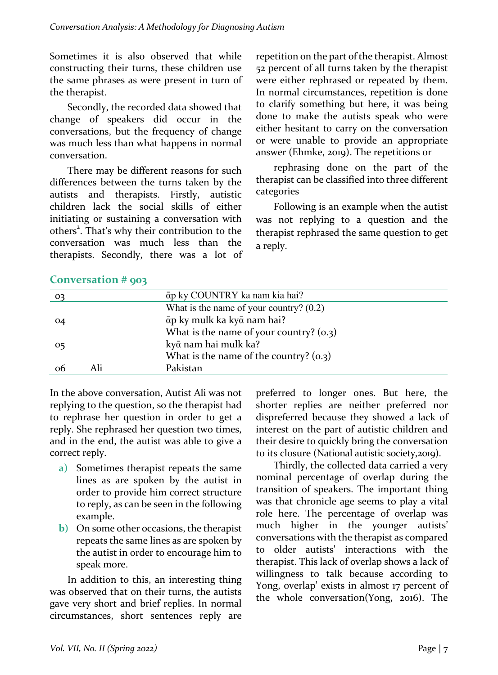Sometimes it is also observed that while constructing their turns, these children use the same phrases as were present in turn of the therapist.

Secondly, the recorded data showed that change of speakers did occur in the conversations, but the frequency of change was much less than what happens in normal conversation. 

There may be different reasons for such differences between the turns taken by the autists and therapists. Firstly, autistic children lack the social skills of either initiating or sustaining a conversation with others<sup>2</sup>. That's why their contribution to the conversation was much less than the therapists. Secondly, there was a lot of

repetition on the part of the therapist. Almost 52 percent of all turns taken by the therapist were either rephrased or repeated by them. In normal circumstances, repetition is done to clarify something but here, it was being done to make the autists speak who were either hesitant to carry on the conversation or were unable to provide an appropriate answer (Ehmke, 2019). The repetitions or

rephrasing done on the part of the therapist can be classified into three different categories

Following is an example when the autist was not replying to a question and the therapist rephrased the same question to get a reply. 

|    |     | āp ky COUNTRY ka nam kia hai?             |
|----|-----|-------------------------------------------|
|    |     | What is the name of your country? $(0.2)$ |
| 04 |     | āp ky mulk ka kyā nam hai?                |
|    |     | What is the name of your country? $(0.3)$ |
| 05 |     | kyā nam hai mulk ka?                      |
|    |     | What is the name of the country? $(0.3)$  |
| 06 | Ali | Pakistan                                  |

### Conversation # 903

In the above conversation, Autist Ali was not replying to the question, so the therapist had to rephrase her question in order to get a reply. She rephrased her question two times, and in the end, the autist was able to give a correct reply.

- **a**) Sometimes therapist repeats the same lines as are spoken by the autist in order to provide him correct structure to reply, as can be seen in the following example.
- **b**) On some other occasions, the therapist repeats the same lines as are spoken by the autist in order to encourage him to speak more.

In addition to this, an interesting thing was observed that on their turns, the autists gave very short and brief replies. In normal circumstances, short sentences reply are 

preferred to longer ones. But here, the shorter replies are neither preferred nor dispreferred because they showed a lack of interest on the part of autistic children and their desire to quickly bring the conversation to its closure (National autistic society,2019).

Thirdly, the collected data carried a very nominal percentage of overlap during the transition of speakers. The important thing was that chronicle age seems to play a vital role here. The percentage of overlap was much higher in the younger autists' conversations with the therapist as compared to older autists' interactions with the therapist. This lack of overlap shows a lack of willingness to talk because according to Yong, overlap' exists in almost 17 percent of the whole conversation(Yong, 2016). The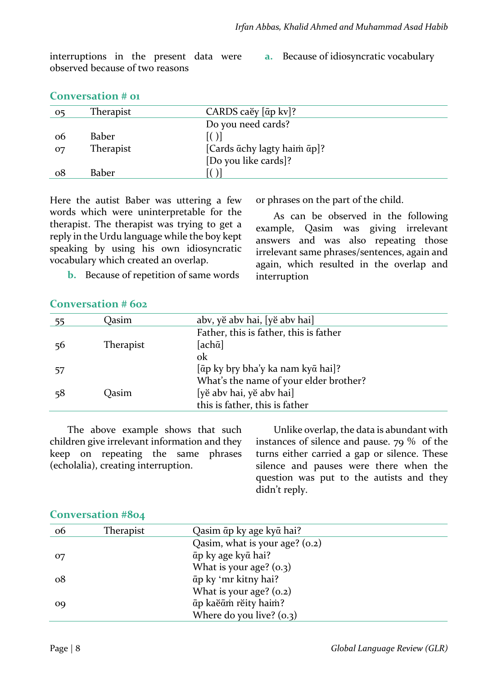interruptions in the present data were observed because of two reasons

**a.** Because of idiosyncratic vocabulary

| <b>Conversation # 01</b> |
|--------------------------|
|--------------------------|

| 05 | <b>Therapist</b> | CARDS caĕy $[\bar{a}p$ kv]?                             |
|----|------------------|---------------------------------------------------------|
|    |                  | Do you need cards?                                      |
| oб | Baber            |                                                         |
| 07 | Therapist        | [Cards $\bar{\alpha}$ chy lagty haim $\bar{\alpha}$ p]? |
|    |                  | [Do you like cards]?                                    |
| 08 | Baber            |                                                         |

Here the autist Baber was uttering a few words which were uninterpretable for the therapist. The therapist was trying to get a reply in the Urdu language while the boy kept speaking by using his own idiosyncratic vocabulary which created an overlap.

or phrases on the part of the child.

As can be observed in the following example, Qasim was giving irrelevant answers and was also repeating those irrelevant same phrases/sentences, again and again, which resulted in the overlap and interruption

**b.** Because of repetition of same words

### **Conversation # 602**

| - 55 | Qasim            | abv, yĕ abv hai, [yĕ abv hai]                                   |
|------|------------------|-----------------------------------------------------------------|
| 56   | <b>Therapist</b> | Father, this is father, this is father<br>[ach $\bar{\alpha}$ ] |
|      |                  | ok                                                              |
| 57   |                  | [āp ky bry bha'y ka nam kyā hai]?                               |
|      |                  | What's the name of your elder brother?                          |
| 58   | Oasim            | [yĕ abv hai, yĕ abv hai]                                        |
|      |                  | this is father, this is father                                  |

The above example shows that such children give irrelevant information and they keep on repeating the same phrases (echolalia), creating interruption.

Unlike overlap, the data is abundant with instances of silence and pause.  $79\%$  of the turns either carried a gap or silence. These silence and pauses were there when the question was put to the autists and they didn't reply.

| 06 | Therapist | Qasim āp ky age kyā hai?         |
|----|-----------|----------------------------------|
|    |           | Qasim, what is your age? $(0.2)$ |
| 07 |           | āp ky age kyā hai?               |
|    |           | What is your age? $(o.3)$        |
| ο8 |           | āp ky 'mr kitny hai?             |
|    |           | What is your age? $(o.2)$        |
| o9 |           | āp kaĕām rĕity haim?             |
|    |           | Where do you live? $(0.3)$       |

#### **Conversation #804**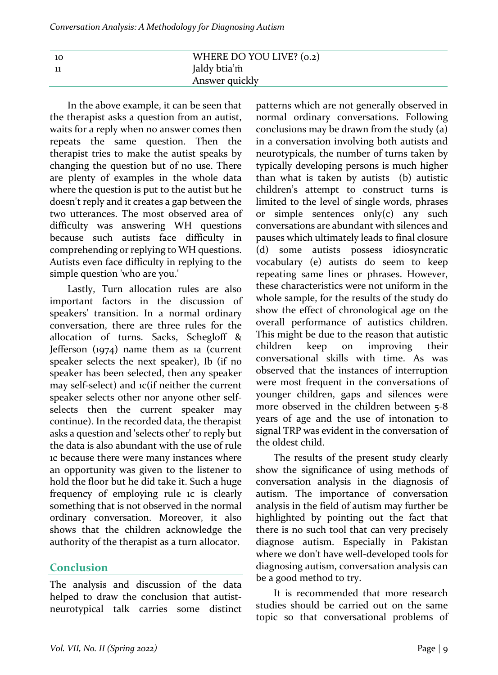| - 10 | WHERE DO YOU LIVE? (0.2) |
|------|--------------------------|
|      | Jaldy btia'm             |
|      | Answer quickly           |

In the above example, it can be seen that the therapist asks a question from an autist, waits for a reply when no answer comes then repeats the same question. Then the therapist tries to make the autist speaks by changing the question but of no use. There are plenty of examples in the whole data where the question is put to the autist but he doesn't reply and it creates a gap between the two utterances. The most observed area of difficulty was answering WH questions because such autists face difficulty in comprehending or replying to WH questions. Autists even face difficulty in replying to the simple question 'who are you.'

Lastly, Turn allocation rules are also important factors in the discussion of speakers' transition. In a normal ordinary conversation, there are three rules for the allocation of turns. Sacks, Schegloff & Jefferson  $(1974)$  name them as 1a (current speaker selects the next speaker), Ib (if no speaker has been selected, then any speaker may self-select) and ic(if neither the current speaker selects other nor anyone other selfselects then the current speaker may continue). In the recorded data, the therapist asks a question and 'selects other' to reply but the data is also abundant with the use of rule 1c because there were many instances where an opportunity was given to the listener to hold the floor but he did take it. Such a huge frequency of employing rule ic is clearly something that is not observed in the normal ordinary conversation. Moreover, it also shows that the children acknowledge the authority of the therapist as a turn allocator.

### **Conclusion**

The analysis and discussion of the data helped to draw the conclusion that autistneurotypical talk carries some distinct  patterns which are not generally observed in normal ordinary conversations. Following conclusions may be drawn from the study (a) in a conversation involving both autists and neurotypicals, the number of turns taken by typically developing persons is much higher than what is taken by autists  $(b)$  autistic children's attempt to construct turns is limited to the level of single words, phrases or simple sentences only(c) any such conversations are abundant with silences and pauses which ultimately leads to final closure (d) some autists possess idiosyncratic vocabulary (e) autists do seem to keep repeating same lines or phrases. However, these characteristics were not uniform in the whole sample, for the results of the study do show the effect of chronological age on the overall performance of autistics children. This might be due to the reason that autistic children keep on improving their conversational skills with time. As was observed that the instances of interruption were most frequent in the conversations of younger children, gaps and silences were more observed in the children between 5-8 years of age and the use of intonation to signal TRP was evident in the conversation of the oldest child.

The results of the present study clearly show the significance of using methods of conversation analysis in the diagnosis of autism. The importance of conversation analysis in the field of autism may further be highlighted by pointing out the fact that there is no such tool that can very precisely diagnose autism. Especially in Pakistan where we don't have well-developed tools for diagnosing autism, conversation analysis can be a good method to try.

It is recommended that more research studies should be carried out on the same topic so that conversational problems of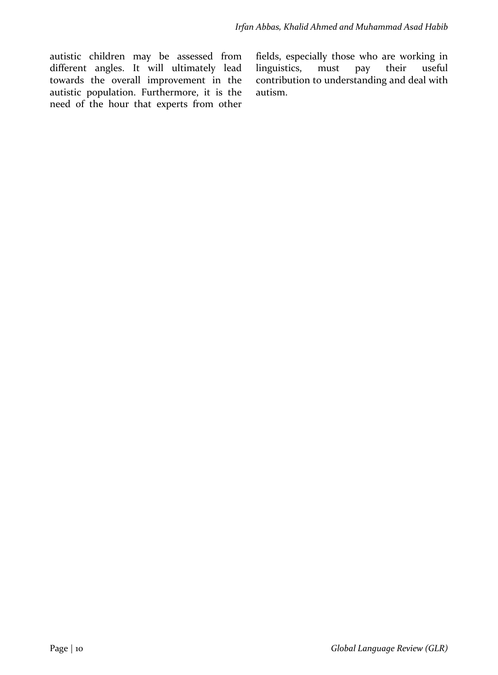autistic children may be assessed from different angles. It will ultimately lead towards the overall improvement in the autistic population. Furthermore, it is the need of the hour that experts from other fields, especially those who are working in linguistics, must pay their useful contribution to understanding and deal with autism.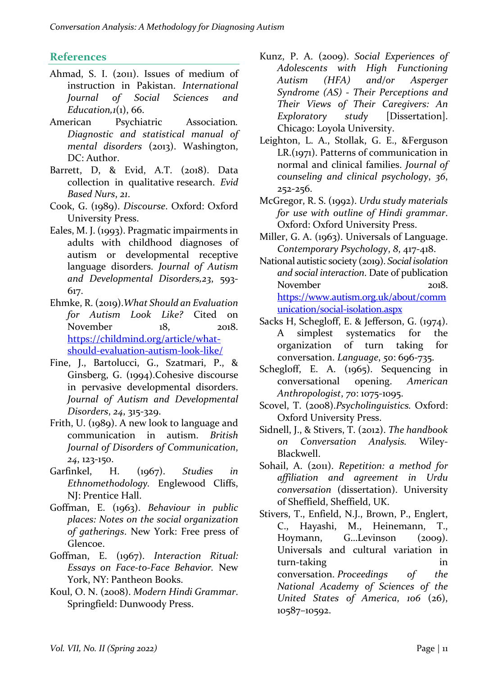### **References**

- Ahmad, S. I.  $(2011)$ . Issues of medium of instruction in Pakistan. *International Journal of Social Sciences and Education,1*(1), 66.
- American Psychiatric Association. *Diagnostic and statistical manual of mental disorders* (2013). Washington, DC: Author.
- Barrett, D, & Evid, A.T. (2018). Data collection in qualitative research. *Evid Based Nurs*, *21*.
- Cook, G. (1989). *Discourse*. Oxford: Oxford University Press.
- Eales, M. J. (1993). Pragmatic impairments in adults with childhood diagnoses of autism or developmental receptive language disorders. *Journal of Autism and Developmental Disorders,23*, 593- 617.
- Ehmke, R. (2019). What Should an Evaluation *for Autism Look Like?* Cited on November 18, 2018. https://childmind.org/article/whatshould-evaluation-autism-look-like/
- Fine, J., Bartolucci, G., Szatmari, P., & Ginsberg, G. (1994).Cohesive discourse in pervasive developmental disorders. *Journal of Autism and Developmental Disorders*, *24*, 315-329.
- Frith, U. (1989). A new look to language and communication in autism. *British Journal of Disorders of Communication*, *24*, 123-150.
- Garfinkel, H. (1967). *Studies* in *Ethnomethodology.* Englewood Cliffs, NI: Prentice Hall.
- Goffman, E. (1963). *Behaviour* in public *places: Notes on the social organization*  of gatherings. New York: Free press of Glencoe.
- Goffman, E. (1967). *Interaction Ritual: Essays on Face-to-Face Behavior.* New York, NY: Pantheon Books.
- Koul, O. N. (2008). *Modern Hindi Grammar.* Springfield: Dunwoody Press.
- Kunz, P. A. (2009). *Social Experiences of Adolescents with High Functioning Autism (HFA) and/or Asperger Syndrome* (AS) - Their Perceptions and *Their Views of Their Caregivers: An Exploratory study* [Dissertation]. Chicago: Loyola University.
- Leighton, L. A., Stollak, G. E., &Ferguson  $LR.(1971)$ . Patterns of communication in normal and clinical families. *Journal of counseling and clinical psychology*, *36*, 252-256.
- McGregor, R. S. (1992). *Urdu study materials for use with outline of Hindi grammar.* Oxford: Oxford University Press.
- Miller, G. A. (1963). Universals of Language. *Contemporary Psychology*, *8*, 417-418.
- National autistic society (2019). Social isolation *and social interaction*. Date of publication November 2018. https://www.autism.org.uk/about/comm unication/social-isolation.aspx
- Sacks H, Schegloff, E. & Jefferson, G. (1974). A simplest systematics for the organization of turn taking for conversation. *Language*, *50*: 696-735.
- Schegloff, E. A.  $(1965)$ . Sequencing in conversational opening. *American Anthropologist*, *70*: 1075-1095.
- Scovel, T. (2008).Psycholinguistics. Oxford: Oxford University Press.
- Sidnell, J., & Stivers, T. (2012). The handbook *on Conversation Analysis.*  Wiley-Blackwell.
- Sohail, A. (2011). Repetition: a method for *affiliation and agreement in Urdu conversation* (dissertation). University of Sheffield, Sheffield, UK.
- Stivers, T., Enfield, N.J., Brown, P., Englert, C., Hayashi, M., Heinemann, T., Hoymann, G...Levinson (2009). Universals and cultural variation in turn-taking in in conversation. Proceedings of the *National Academy of Sciences of the United States of America*, *106*  (26), 10587–10592.